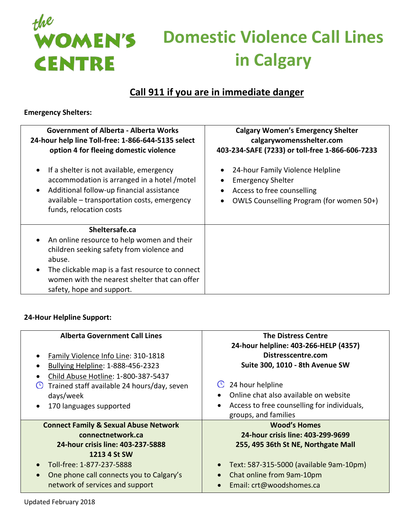

# the<br>**WOMEN'S** Domestic Violence Call Lines **in Calgary**

## **Call 911 if you are in immediate danger**

#### **Emergency Shelters:**

| <b>Government of Alberta - Alberta Works</b><br>24-hour help line Toll-free: 1-866-644-5135 select<br>option 4 for fleeing domestic violence                                                                                                         | <b>Calgary Women's Emergency Shelter</b><br>calgarywomensshelter.com<br>403-234-SAFE (7233) or toll-free 1-866-606-7233                |
|------------------------------------------------------------------------------------------------------------------------------------------------------------------------------------------------------------------------------------------------------|----------------------------------------------------------------------------------------------------------------------------------------|
| If a shelter is not available, emergency<br>accommodation is arranged in a hotel / motel<br>Additional follow-up financial assistance<br>available – transportation costs, emergency<br>funds, relocation costs                                      | 24-hour Family Violence Helpline<br><b>Emergency Shelter</b><br>Access to free counselling<br>OWLS Counselling Program (for women 50+) |
| Sheltersafe.ca<br>An online resource to help women and their<br>children seeking safety from violence and<br>abuse.<br>The clickable map is a fast resource to connect<br>women with the nearest shelter that can offer<br>safety, hope and support. |                                                                                                                                        |

### **24-Hour Helpline Support:**

| <b>Alberta Government Call Lines</b><br>Family Violence Info Line: 310-1818<br>Bullying Helpline: 1-888-456-2323<br>Child Abuse Hotline: 1-800-387-5437<br>Trained staff available 24 hours/day, seven<br>$\circ$<br>days/week<br>170 languages supported | <b>The Distress Centre</b><br>24-hour helpline: 403-266-HELP (4357)<br>Distresscentre.com<br>Suite 300, 1010 - 8th Avenue SW<br>24 hour helpline<br>V<br>Online chat also available on website<br>Access to free counselling for individuals,<br>$\bullet$<br>groups, and families |
|-----------------------------------------------------------------------------------------------------------------------------------------------------------------------------------------------------------------------------------------------------------|------------------------------------------------------------------------------------------------------------------------------------------------------------------------------------------------------------------------------------------------------------------------------------|
| <b>Connect Family &amp; Sexual Abuse Network</b>                                                                                                                                                                                                          | <b>Wood's Homes</b>                                                                                                                                                                                                                                                                |
| connectnetwork.ca                                                                                                                                                                                                                                         | 24-hour crisis line: 403-299-9699                                                                                                                                                                                                                                                  |
| 24-hour crisis line: 403-237-5888                                                                                                                                                                                                                         | 255, 495 36th St NE, Northgate Mall                                                                                                                                                                                                                                                |
| 1213 4 St SW                                                                                                                                                                                                                                              | Text: 587-315-5000 (available 9am-10pm)                                                                                                                                                                                                                                            |
| Toll-free: 1-877-237-5888                                                                                                                                                                                                                                 | Chat online from 9am-10pm                                                                                                                                                                                                                                                          |
| One phone call connects you to Calgary's                                                                                                                                                                                                                  | $\bullet$                                                                                                                                                                                                                                                                          |
| network of services and support                                                                                                                                                                                                                           | Email: crt@woodshomes.ca                                                                                                                                                                                                                                                           |